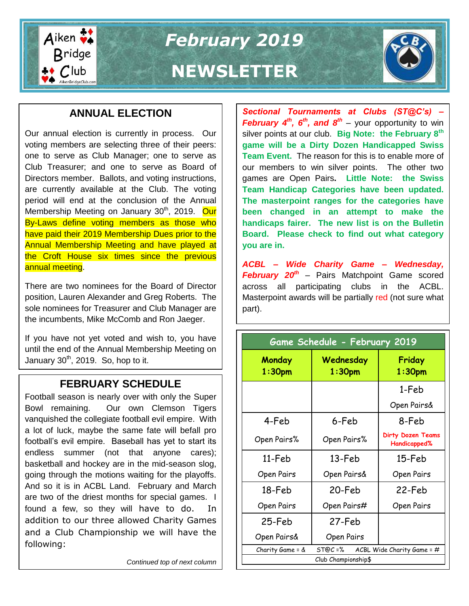

*February 2019*

# **NEWSLETTER**

# **ANNUAL ELECTION**

Our annual election is currently in process. Our voting members are selecting three of their peers: one to serve as Club Manager; one to serve as Club Treasurer; and one to serve as Board of Directors member. Ballots, and voting instructions, are currently available at the Club. The voting period will end at the conclusion of the Annual Membership Meeting on January 30<sup>th</sup>, 2019. Our By-Laws define voting members as those who have paid their 2019 Membership Dues prior to the Annual Membership Meeting and have played at the Croft House six times since the previous annual meeting.

There are two nominees for the Board of Director position, Lauren Alexander and Greg Roberts. The sole nominees for Treasurer and Club Manager are the incumbents, Mike McComb and Ron Jaeger.

If you have not yet voted and wish to, you have until the end of the Annual Membership Meeting on January  $30<sup>th</sup>$ , 2019. So, hop to it.

## **FEBRUARY SCHEDULE**

Football season is nearly over with only the Super Bowl remaining. Our own Clemson Tigers vanquished the collegiate football evil empire. With a lot of luck, maybe the same fate will befall pro football's evil empire. Baseball has yet to start its endless summer (not that anyone cares); basketball and hockey are in the mid-season slog, going through the motions waiting for the playoffs. And so it is in ACBL Land. February and March are two of the driest months for special games. I found a few, so they will have to do. In addition to our three allowed Charity Games and a Club Championship we will have the following:

*Continued top of next column*

*Sectional Tournaments at Clubs (ST@C's) – February 4th, 6th, and 8th* – your opportunity to win silver points at our club. **Big Note: the February 8th game will be a Dirty Dozen Handicapped Swiss Team Event.** The reason for this is to enable more of our members to win silver points. The other two games are Open Pairs**. Little Note: the Swiss Team Handicap Categories have been updated. The masterpoint ranges for the categories have been changed in an attempt to make the handicaps fairer. The new list is on the Bulletin Board. Please check to find out what category you are in.**

*ACBL – Wide Charity Game – Wednesday, February 20th* – Pairs Matchpoint Game scored across all participating clubs in the ACBL. Masterpoint awards will be partially red (not sure what part).

| Game Schedule - February 2019 |                                         |                                          |  |  |  |
|-------------------------------|-----------------------------------------|------------------------------------------|--|--|--|
| Monday<br>$1:30$ pm           | Wednesday<br>1:30 <sub>pm</sub>         | Friday<br>1:30 <sub>pm</sub>             |  |  |  |
|                               |                                         | 1-Feb                                    |  |  |  |
|                               |                                         | Open Pairs&                              |  |  |  |
| 4-Feb                         | 6-Feb                                   | 8-Feb                                    |  |  |  |
| Open Pairs%                   | Open Pairs%                             | <b>Dirty Dozen Teams</b><br>Handicapped% |  |  |  |
| 11-Feb                        | 13-Feb                                  | 15-Feb                                   |  |  |  |
| Open Pairs                    | Open Pairs&                             | Open Pairs                               |  |  |  |
| 18-Feb                        | 20-Feb                                  | 22-Feb                                   |  |  |  |
| Open Pairs                    | Open Pairs#                             | Open Pairs                               |  |  |  |
| 25-Feb                        | 27-Feb                                  |                                          |  |  |  |
| Open Pairs&                   | Open Pairs                              |                                          |  |  |  |
| Charity Game = &              | ACBL Wide Charity Game = $#$<br>ST@C =% |                                          |  |  |  |
| Club Championship\$           |                                         |                                          |  |  |  |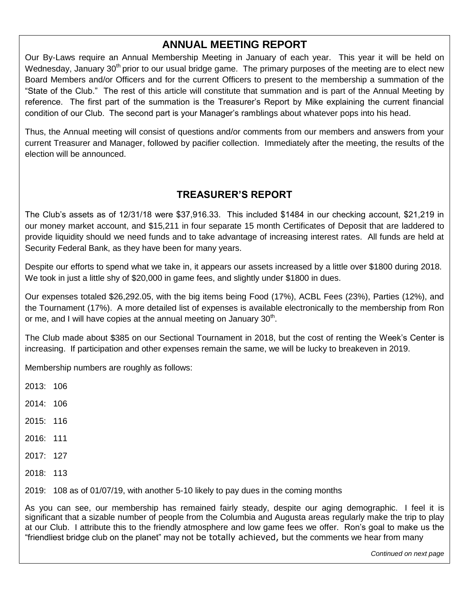## **ANNUAL MEETING REPORT**

Our By-Laws require an Annual Membership Meeting in January of each year. This year it will be held on Wednesday, January 30<sup>th</sup> prior to our usual bridge game. The primary purposes of the meeting are to elect new Board Members and/or Officers and for the current Officers to present to the membership a summation of the "State of the Club." The rest of this article will constitute that summation and is part of the Annual Meeting by reference. The first part of the summation is the Treasurer's Report by Mike explaining the current financial condition of our Club. The second part is your Manager's ramblings about whatever pops into his head.

Thus, the Annual meeting will consist of questions and/or comments from our members and answers from your current Treasurer and Manager, followed by pacifier collection. Immediately after the meeting, the results of the election will be announced.

## **TREASURER'S REPORT**

The Club's assets as of 12/31/18 were \$37,916.33. This included \$1484 in our checking account, \$21,219 in our money market account, and \$15,211 in four separate 15 month Certificates of Deposit that are laddered to provide liquidity should we need funds and to take advantage of increasing interest rates. All funds are held at Security Federal Bank, as they have been for many years.

Despite our efforts to spend what we take in, it appears our assets increased by a little over \$1800 during 2018. We took in just a little shy of \$20,000 in game fees, and slightly under \$1800 in dues.

Our expenses totaled \$26,292.05, with the big items being Food (17%), ACBL Fees (23%), Parties (12%), and the Tournament (17%). A more detailed list of expenses is available electronically to the membership from Ron or me, and I will have copies at the annual meeting on January  $30<sup>th</sup>$ .

The Club made about \$385 on our Sectional Tournament in 2018, but the cost of renting the Week's Center is increasing. If participation and other expenses remain the same, we will be lucky to breakeven in 2019.

Membership numbers are roughly as follows:

2013: 106

- 2014: 106
- 2015: 116
- 2016: 111
- 2017: 127
- 2018: 113

2019: 108 as of 01/07/19, with another 5-10 likely to pay dues in the coming months

As you can see, our membership has remained fairly steady, despite our aging demographic. I feel it is significant that a sizable number of people from the Columbia and Augusta areas regularly make the trip to play at our Club. I attribute this to the friendly atmosphere and low game fees we offer. Ron's goal to make us the "friendliest bridge club on the planet" may not be totally achieved, but the comments we hear from many

*Continued on next page*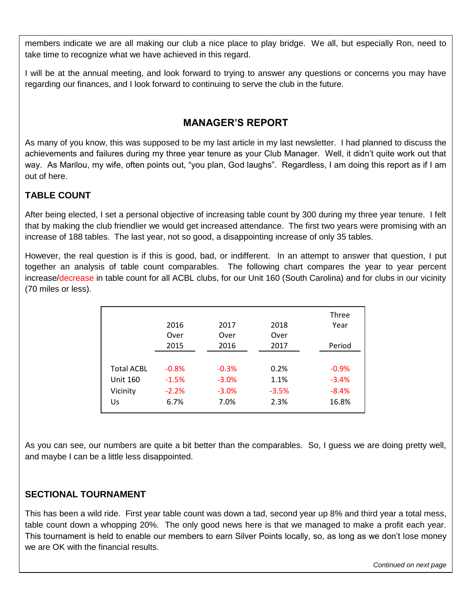members indicate we are all making our club a nice place to play bridge. We all, but especially Ron, need to take time to recognize what we have achieved in this regard.

I will be at the annual meeting, and look forward to trying to answer any questions or concerns you may have regarding our finances, and I look forward to continuing to serve the club in the future.

## **MANAGER'S REPORT**

As many of you know, this was supposed to be my last article in my last newsletter. I had planned to discuss the achievements and failures during my three year tenure as your Club Manager. Well, it didn't quite work out that way. As Marilou, my wife, often points out, "you plan, God laughs". Regardless, I am doing this report as if I am out of here.

### **TABLE COUNT**

After being elected, I set a personal objective of increasing table count by 300 during my three year tenure. I felt that by making the club friendlier we would get increased attendance. The first two years were promising with an increase of 188 tables. The last year, not so good, a disappointing increase of only 35 tables.

However, the real question is if this is good, bad, or indifferent. In an attempt to answer that question, I put together an analysis of table count comparables. The following chart compares the year to year percent increase/decrease in table count for all ACBL clubs, for our Unit 160 (South Carolina) and for clubs in our vicinity (70 miles or less).

|                   | 2016    | 2017    | 2018    | Three   |
|-------------------|---------|---------|---------|---------|
|                   | Over    | Over    | Over    | Year    |
|                   | 2015    | 2016    | 2017    | Period  |
| <b>Total ACBL</b> | $-0.8%$ | $-0.3%$ | 0.2%    | $-0.9%$ |
| <b>Unit 160</b>   | $-1.5%$ | $-3.0%$ | 1.1%    | $-3.4%$ |
| Vicinity          | $-2.2%$ | $-3.0%$ | $-3.5%$ | $-8.4%$ |
| Us                | 6.7%    | 7.0%    | 2.3%    | 16.8%   |

As you can see, our numbers are quite a bit better than the comparables. So, I guess we are doing pretty well, and maybe I can be a little less disappointed.

#### **SECTIONAL TOURNAMENT**

**Falling Down Bridge** This has been a wild ride. First year table count was down a tad, second year up 8% and third year a total mess, table count down a whopping 20%. The only good news here is that we managed to make a profit each year. This tournament is held to enable our members to earn Silver Points locally, so, as long as we don't lose money we are OK with the financial results.